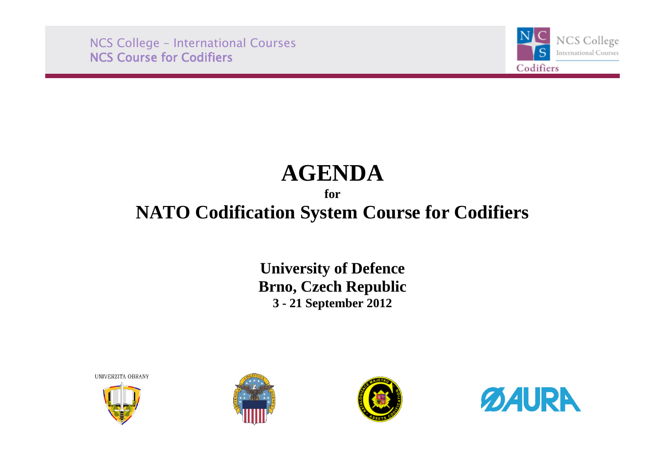NCS College – International Courses NCS Course for Codifiers



# **AGENDA**

# **for NATO Codification System Course for Codifiers**

# **University of Defence Brno, Czech Republic 3 - 21 September 2012**

UNIVERZITA OBRANY







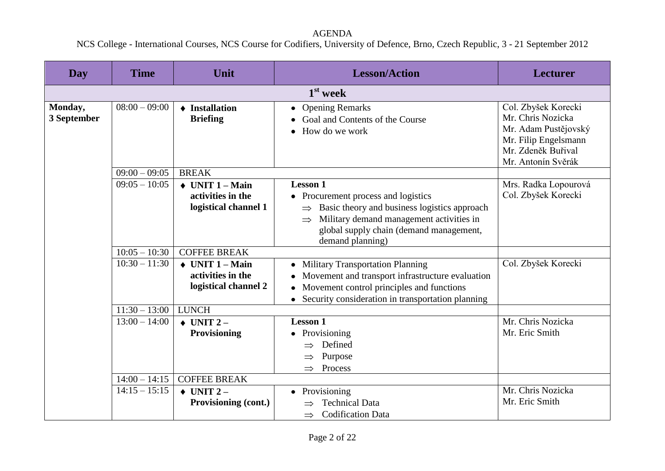| Day                    | <b>Time</b>                        | Unit                                                                     | <b>Lesson/Action</b>                                                                                                                                                                           | <b>Lecturer</b>                                                                                                                      |  |  |
|------------------------|------------------------------------|--------------------------------------------------------------------------|------------------------------------------------------------------------------------------------------------------------------------------------------------------------------------------------|--------------------------------------------------------------------------------------------------------------------------------------|--|--|
|                        | $1st$ week                         |                                                                          |                                                                                                                                                                                                |                                                                                                                                      |  |  |
| Monday,<br>3 September | $08:00 - 09:00$<br>$09:00 - 09:05$ | $\triangle$ Installation<br><b>Briefing</b><br><b>BREAK</b>              | • Opening Remarks<br>Goal and Contents of the Course<br>$\bullet$ How do we work                                                                                                               | Col. Zbyšek Korecki<br>Mr. Chris Nozicka<br>Mr. Adam Pustějovský<br>Mr. Filip Engelsmann<br>Mr. Zdeněk Buřival<br>Mr. Antonín Svěrák |  |  |
|                        | $09:05 - 10:05$                    | $\rightarrow$ UNIT 1 – Main                                              | <b>Lesson 1</b>                                                                                                                                                                                | Mrs. Radka Lopourová                                                                                                                 |  |  |
|                        |                                    | activities in the<br>logistical channel 1                                | • Procurement process and logistics<br>Basic theory and business logistics approach<br>Military demand management activities in<br>global supply chain (demand management,<br>demand planning) | Col. Zbyšek Korecki                                                                                                                  |  |  |
|                        | $10:05 - 10:30$                    | <b>COFFEE BREAK</b>                                                      |                                                                                                                                                                                                |                                                                                                                                      |  |  |
|                        | $10:30 - 11:30$                    | $\rightarrow$ UNIT 1 – Main<br>activities in the<br>logistical channel 2 | • Military Transportation Planning<br>Movement and transport infrastructure evaluation<br>• Movement control principles and functions<br>• Security consideration in transportation planning   | Col. Zbyšek Korecki                                                                                                                  |  |  |
|                        | $11:30 - 13:00$                    | <b>LUNCH</b>                                                             |                                                                                                                                                                                                |                                                                                                                                      |  |  |
|                        | $13:00 - 14:00$                    | $\rightarrow$ UNIT 2 –<br>Provisioning                                   | <b>Lesson 1</b><br>• Provisioning<br>Defined<br>Purpose<br>Process<br>$\Rightarrow$                                                                                                            | Mr. Chris Nozicka<br>Mr. Eric Smith                                                                                                  |  |  |
|                        | $14:00 - 14:15$                    | <b>COFFEE BREAK</b>                                                      |                                                                                                                                                                                                |                                                                                                                                      |  |  |
|                        | $14:15 - 15:15$                    | $\rightarrow$ UNIT 2 –<br>Provisioning (cont.)                           | • Provisioning<br><b>Technical Data</b><br><b>Codification Data</b><br>$\Rightarrow$                                                                                                           | Mr. Chris Nozicka<br>Mr. Eric Smith                                                                                                  |  |  |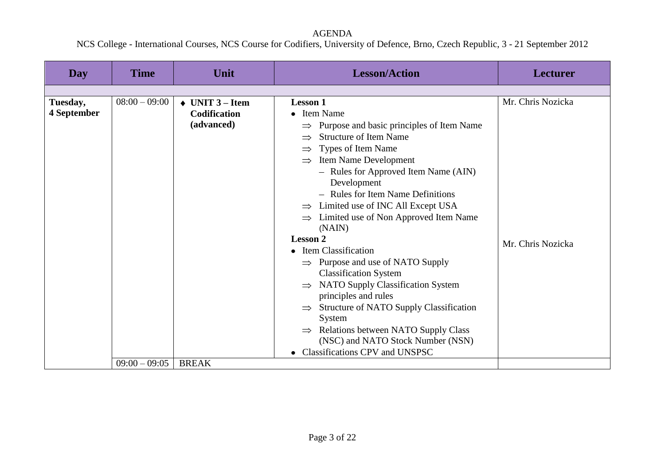| Day                     | <b>Time</b>                        | Unit                                                                             | <b>Lesson/Action</b>                                                                                                                                                                                                                                                                                                                                                                                                                                                                                                                                                                                                                                                                                                                                                                                                                          | <b>Lecturer</b>                        |
|-------------------------|------------------------------------|----------------------------------------------------------------------------------|-----------------------------------------------------------------------------------------------------------------------------------------------------------------------------------------------------------------------------------------------------------------------------------------------------------------------------------------------------------------------------------------------------------------------------------------------------------------------------------------------------------------------------------------------------------------------------------------------------------------------------------------------------------------------------------------------------------------------------------------------------------------------------------------------------------------------------------------------|----------------------------------------|
|                         |                                    |                                                                                  |                                                                                                                                                                                                                                                                                                                                                                                                                                                                                                                                                                                                                                                                                                                                                                                                                                               |                                        |
| Tuesday,<br>4 September | $08:00 - 09:00$<br>$09:00 - 09:05$ | $\rightarrow$ UNIT 3 – Item<br><b>Codification</b><br>(advanced)<br><b>BREAK</b> | <b>Lesson 1</b><br>• Item Name<br>Purpose and basic principles of Item Name<br><b>Structure of Item Name</b><br>$\Rightarrow$<br>Types of Item Name<br>$\Rightarrow$<br><b>Item Name Development</b><br>$\Rightarrow$<br>- Rules for Approved Item Name (AIN)<br>Development<br>- Rules for Item Name Definitions<br>Limited use of INC All Except USA<br>$\Rightarrow$<br>$\Rightarrow$ Limited use of Non Approved Item Name<br>(NAIN)<br><b>Lesson 2</b><br>• Item Classification<br>$\Rightarrow$ Purpose and use of NATO Supply<br><b>Classification System</b><br>NATO Supply Classification System<br>principles and rules<br>Structure of NATO Supply Classification<br>$\Rightarrow$<br>System<br><b>Relations between NATO Supply Class</b><br>$\Rightarrow$<br>(NSC) and NATO Stock Number (NSN)<br>Classifications CPV and UNSPSC | Mr. Chris Nozicka<br>Mr. Chris Nozicka |
|                         |                                    |                                                                                  |                                                                                                                                                                                                                                                                                                                                                                                                                                                                                                                                                                                                                                                                                                                                                                                                                                               |                                        |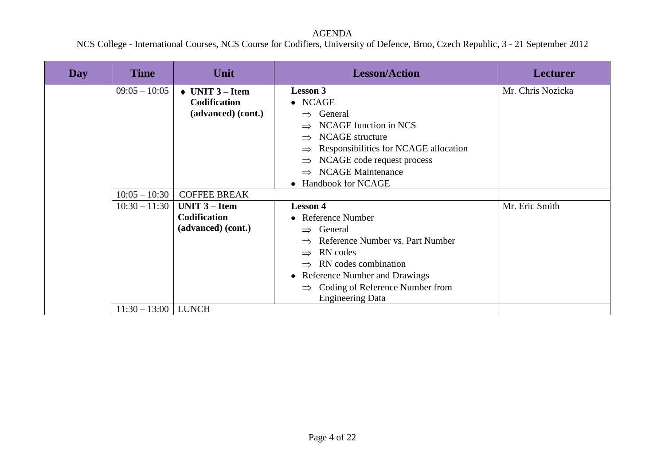| Day | <b>Time</b>     | Unit                        | <b>Lesson/Action</b>                             | <b>Lecturer</b>   |
|-----|-----------------|-----------------------------|--------------------------------------------------|-------------------|
|     | $09:05 - 10:05$ | $\rightarrow$ UNIT 3 – Item | <b>Lesson 3</b>                                  | Mr. Chris Nozicka |
|     |                 | Codification                | $\bullet$ NCAGE                                  |                   |
|     |                 | (advanced) (cont.)          | General<br>$\Rightarrow$                         |                   |
|     |                 |                             | NCAGE function in NCS                            |                   |
|     |                 |                             | <b>NCAGE</b> structure<br>$\Rightarrow$          |                   |
|     |                 |                             | Responsibilities for NCAGE allocation            |                   |
|     |                 |                             | NCAGE code request process<br>$\Rightarrow$      |                   |
|     |                 |                             | <b>NCAGE Maintenance</b><br>$\Rightarrow$        |                   |
|     |                 |                             | • Handbook for NCAGE                             |                   |
|     | $10:05 - 10:30$ | <b>COFFEE BREAK</b>         |                                                  |                   |
|     | $10:30 - 11:30$ | UNIT $3$ – Item             | <b>Lesson 4</b>                                  | Mr. Eric Smith    |
|     |                 | Codification                | • Reference Number                               |                   |
|     |                 | (advanced) (cont.)          | General<br>$\Rightarrow$                         |                   |
|     |                 |                             | Reference Number vs. Part Number                 |                   |
|     |                 |                             | RN codes<br>$\Rightarrow$                        |                   |
|     |                 |                             | RN codes combination<br>$\Rightarrow$            |                   |
|     |                 |                             | • Reference Number and Drawings                  |                   |
|     |                 |                             | Coding of Reference Number from<br>$\Rightarrow$ |                   |
|     |                 |                             | <b>Engineering Data</b>                          |                   |
|     | $11:30 - 13:00$ | <b>LUNCH</b>                |                                                  |                   |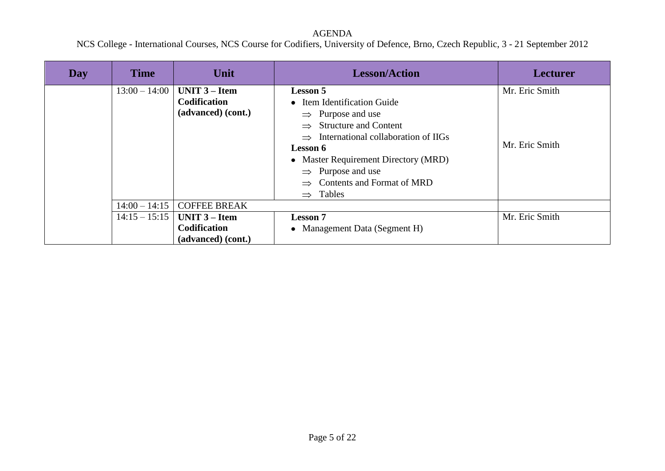| Day | <b>Time</b>     | Unit                                                                    | <b>Lesson/Action</b>                                                                                                                   | <b>Lecturer</b> |
|-----|-----------------|-------------------------------------------------------------------------|----------------------------------------------------------------------------------------------------------------------------------------|-----------------|
|     | $13:00 - 14:00$ | <b>UNIT <math>3</math> – Item</b><br>Codification<br>(advanced) (cont.) | <b>Lesson 5</b><br>• Item Identification Guide<br>$\Rightarrow$ Purpose and use<br><b>Structure and Content</b>                        | Mr. Eric Smith  |
|     |                 |                                                                         | $\Rightarrow$ International collaboration of IIGs<br>Lesson 6<br>• Master Requirement Directory (MRD)<br>$\Rightarrow$ Purpose and use | Mr. Eric Smith  |
|     |                 |                                                                         | Contents and Format of MRD<br>Tables<br>$\Rightarrow$                                                                                  |                 |
|     | $14:00 - 14:15$ | <b>COFFEE BREAK</b>                                                     |                                                                                                                                        |                 |
|     | $14:15 - 15:15$ | <b>UNIT <math>3</math> – Item</b><br>Codification<br>(advanced) (cont.) | <b>Lesson 7</b><br>• Management Data (Segment H)                                                                                       | Mr. Eric Smith  |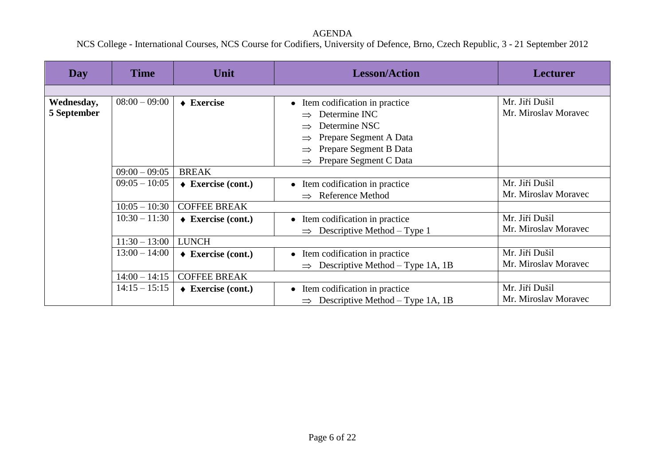| Day         | <b>Time</b>     | <b>Unit</b>                  | <b>Lesson/Action</b>                              | <b>Lecturer</b>      |
|-------------|-----------------|------------------------------|---------------------------------------------------|----------------------|
|             |                 |                              |                                                   |                      |
| Wednesday,  | $08:00 - 09:00$ | $\triangle$ Exercise         | • Item codification in practice                   | Mr. Jiří Dušil       |
| 5 September |                 |                              | Determine INC                                     | Mr. Miroslav Moravec |
|             |                 |                              | Determine NSC                                     |                      |
|             |                 |                              | Prepare Segment A Data                            |                      |
|             |                 |                              | Prepare Segment B Data                            |                      |
|             |                 |                              | Prepare Segment C Data<br>$\Rightarrow$           |                      |
|             | $09:00 - 09:05$ | <b>BREAK</b>                 |                                                   |                      |
|             | $09:05 - 10:05$ | $\triangle$ Exercise (cont.) | • Item codification in practice                   | Mr. Jiří Dušil       |
|             |                 |                              | <b>Reference Method</b><br>$\Rightarrow$          | Mr. Miroslav Moravec |
|             | $10:05 - 10:30$ | <b>COFFEE BREAK</b>          |                                                   |                      |
|             | $10:30 - 11:30$ | $\triangle$ Exercise (cont.) | Item codification in practice<br>$\bullet$        | Mr. Jiří Dušil       |
|             |                 |                              | Descriptive Method $-$ Type 1<br>$\Rightarrow$    | Mr. Miroslav Moravec |
|             | $11:30 - 13:00$ | <b>LUNCH</b>                 |                                                   |                      |
|             | $13:00 - 14:00$ | $\triangle$ Exercise (cont.) | • Item codification in practice                   | Mr. Jiří Dušil       |
|             |                 |                              | Descriptive Method – Type 1A, 1B<br>$\Rightarrow$ | Mr. Miroslav Moravec |
|             | $14:00 - 14:15$ | <b>COFFEE BREAK</b>          |                                                   |                      |
|             | $14:15 - 15:15$ | $\triangle$ Exercise (cont.) | Item codification in practice<br>$\bullet$        | Mr. Jiří Dušil       |
|             |                 |                              | Descriptive Method – Type 1A, 1B<br>$\Rightarrow$ | Mr. Miroslav Moravec |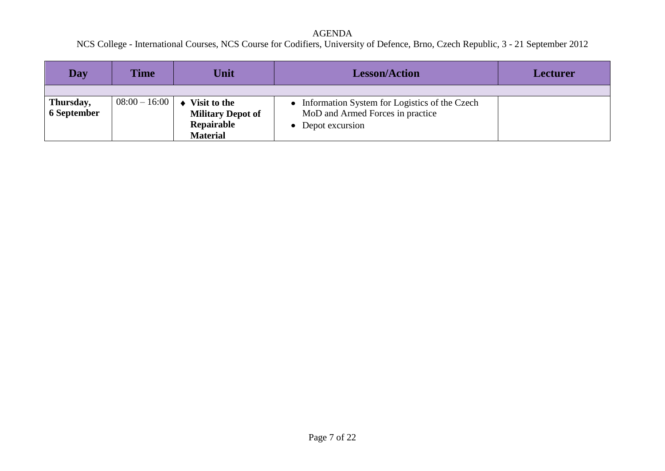| Day                             | <b>Time</b>     | Unit                                                                                   | <b>Lesson/Action</b>                                                                                     | Lecturer |
|---------------------------------|-----------------|----------------------------------------------------------------------------------------|----------------------------------------------------------------------------------------------------------|----------|
| Thursday,<br><b>6 September</b> | $08:00 - 16:00$ | Visit to the<br>$\bullet$<br><b>Military Depot of</b><br>Repairable<br><b>Material</b> | • Information System for Logistics of the Czech<br>MoD and Armed Forces in practice<br>• Depot excursion |          |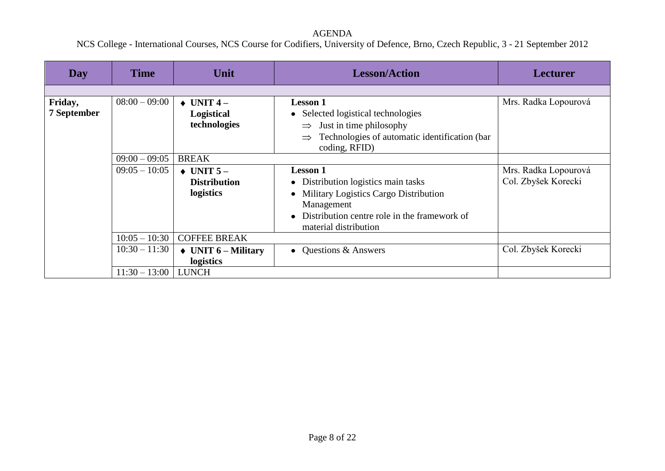| Day         | Time            | Unit                            | <b>Lesson/Action</b>                          | <b>Lecturer</b>      |
|-------------|-----------------|---------------------------------|-----------------------------------------------|----------------------|
|             |                 |                                 |                                               |                      |
| Friday,     | $08:00 - 09:00$ | $\triangleleft$ UNIT 4 –        | <b>Lesson 1</b>                               | Mrs. Radka Lopourová |
| 7 September |                 | Logistical                      | • Selected logistical technologies            |                      |
|             |                 | technologies                    | Just in time philosophy<br>$\Rightarrow$      |                      |
|             |                 |                                 | Technologies of automatic identification (bar |                      |
|             |                 |                                 | coding, RFID)                                 |                      |
|             | $09:00 - 09:05$ | <b>BREAK</b>                    |                                               |                      |
|             | $09:05 - 10:05$ | $\triangle$ UNIT 5 –            | <b>Lesson 1</b>                               | Mrs. Radka Lopourová |
|             |                 | <b>Distribution</b>             | • Distribution logistics main tasks           | Col. Zbyšek Korecki  |
|             |                 | logistics                       | • Military Logistics Cargo Distribution       |                      |
|             |                 |                                 | Management                                    |                      |
|             |                 |                                 | Distribution centre role in the framework of  |                      |
|             |                 |                                 | material distribution                         |                      |
|             | $10:05 - 10:30$ | <b>COFFEE BREAK</b>             |                                               |                      |
|             | $10:30 - 11:30$ | $\rightarrow$ UNIT 6 – Military | • Questions & Answers                         | Col. Zbyšek Korecki  |
|             |                 | logistics                       |                                               |                      |
|             | $11:30 - 13:00$ | <b>LUNCH</b>                    |                                               |                      |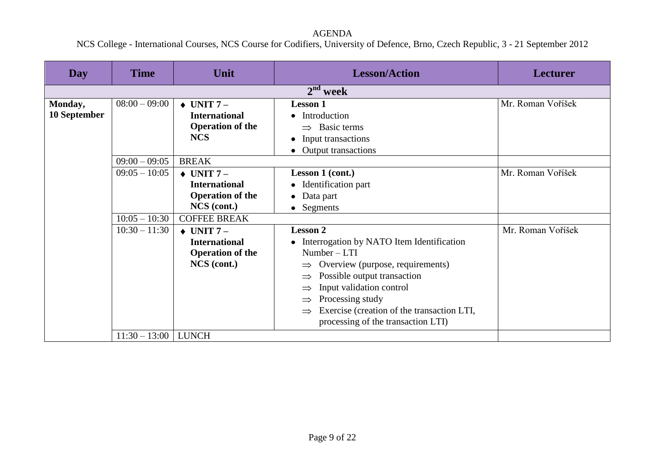| Day                     | <b>Time</b>                                           | Unit                                                                                                                          | <b>Lesson/Action</b>                                                                                                                                                                                                                                                                                     | <b>Lecturer</b>   |
|-------------------------|-------------------------------------------------------|-------------------------------------------------------------------------------------------------------------------------------|----------------------------------------------------------------------------------------------------------------------------------------------------------------------------------------------------------------------------------------------------------------------------------------------------------|-------------------|
|                         |                                                       |                                                                                                                               |                                                                                                                                                                                                                                                                                                          |                   |
| Monday,<br>10 September | $08:00 - 09:00$                                       | $\triangle$ UNIT 7 –<br><b>International</b><br><b>Operation of the</b><br><b>NCS</b>                                         | <b>Lesson 1</b><br>• Introduction<br>$\Rightarrow$ Basic terms<br>• Input transactions<br><b>Output transactions</b>                                                                                                                                                                                     | Mr. Roman Voříšek |
|                         | $09:00 - 09:05$<br>$09:05 - 10:05$<br>$10:05 - 10:30$ | <b>BREAK</b><br>$\triangle$ UNIT 7 –<br><b>International</b><br><b>Operation of the</b><br>NCS (cont.)<br><b>COFFEE BREAK</b> | Lesson 1 (cont.)<br>• Identification part<br>Data part<br>$\bullet$<br>• Segments                                                                                                                                                                                                                        | Mr. Roman Voříšek |
|                         | $10:30 - 11:30$                                       | $\triangle$ UNIT 7 –<br><b>International</b><br><b>Operation of the</b><br>NCS (cont.)                                        | <b>Lesson 2</b><br>• Interrogation by NATO Item Identification<br>$Number - LTI$<br>Overview (purpose, requirements)<br>Possible output transaction<br>Input validation control<br>Processing study<br>$\Rightarrow$<br>Exercise (creation of the transaction LTI,<br>processing of the transaction LTI) | Mr. Roman Voříšek |
|                         | $11:30 - 13:00$                                       | <b>LUNCH</b>                                                                                                                  |                                                                                                                                                                                                                                                                                                          |                   |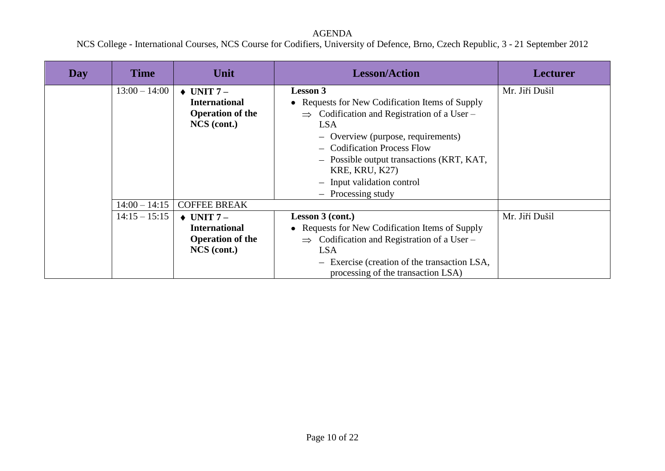| Day | <b>Time</b>     | Unit                     | <b>Lesson/Action</b>                                       | <b>Lecturer</b> |
|-----|-----------------|--------------------------|------------------------------------------------------------|-----------------|
|     | $13:00 - 14:00$ | $\triangleleft$ UNIT 7 – | <b>Lesson 3</b>                                            | Mr. Jiří Dušil  |
|     |                 | <b>International</b>     | • Requests for New Codification Items of Supply            |                 |
|     |                 | <b>Operation of the</b>  | Codification and Registration of a User –<br>$\Rightarrow$ |                 |
|     |                 | NCS (cont.)              | <b>LSA</b>                                                 |                 |
|     |                 |                          | - Overview (purpose, requirements)                         |                 |
|     |                 |                          | - Codification Process Flow                                |                 |
|     |                 |                          | - Possible output transactions (KRT, KAT,                  |                 |
|     |                 |                          | <b>KRE, KRU, K27)</b>                                      |                 |
|     |                 |                          | - Input validation control                                 |                 |
|     |                 |                          | - Processing study                                         |                 |
|     | $14:00 - 14:15$ | <b>COFFEE BREAK</b>      |                                                            |                 |
|     | $14:15 - 15:15$ | $\triangle$ UNIT 7 –     | Lesson 3 (cont.)                                           | Mr. Jiří Dušil  |
|     |                 | <b>International</b>     | • Requests for New Codification Items of Supply            |                 |
|     |                 | <b>Operation of the</b>  | $\Rightarrow$ Codification and Registration of a User –    |                 |
|     |                 | NCS (cont.)              | <b>LSA</b>                                                 |                 |
|     |                 |                          | - Exercise (creation of the transaction LSA,               |                 |
|     |                 |                          | processing of the transaction LSA)                         |                 |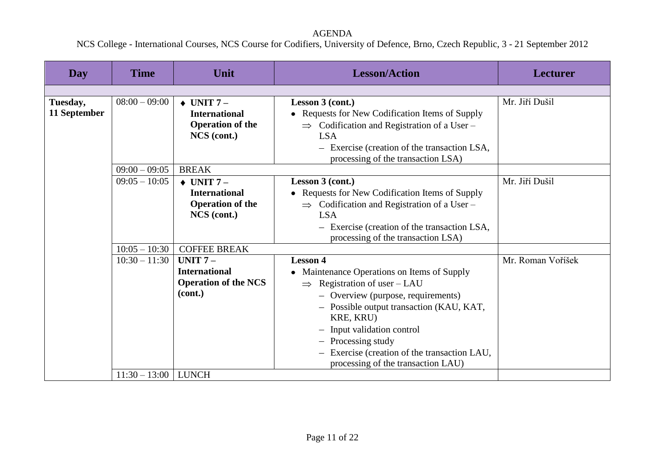| Day          | <b>Time</b>           | Unit                        | <b>Lesson/Action</b>                                                               | <b>Lecturer</b>   |
|--------------|-----------------------|-----------------------------|------------------------------------------------------------------------------------|-------------------|
|              |                       |                             |                                                                                    |                   |
| Tuesday,     | $08:00 - 09:00$       | $\triangleleft$ UNIT 7 –    | Lesson 3 (cont.)                                                                   | Mr. Jiří Dušil    |
| 11 September |                       | <b>International</b>        | • Requests for New Codification Items of Supply                                    |                   |
|              |                       | <b>Operation of the</b>     | $\Rightarrow$ Codification and Registration of a User –                            |                   |
|              |                       | NCS (cont.)                 | <b>LSA</b>                                                                         |                   |
|              |                       |                             | - Exercise (creation of the transaction LSA,<br>processing of the transaction LSA) |                   |
|              | $09:00 - 09:05$       | <b>BREAK</b>                |                                                                                    |                   |
|              | $09:05 - 10:05$       | $\triangle$ UNIT 7 –        | Lesson 3 (cont.)                                                                   | Mr. Jiří Dušil    |
|              |                       | <b>International</b>        | • Requests for New Codification Items of Supply                                    |                   |
|              |                       | <b>Operation of the</b>     | $\Rightarrow$ Codification and Registration of a User –                            |                   |
|              |                       | NCS (cont.)                 | <b>LSA</b>                                                                         |                   |
|              |                       |                             | - Exercise (creation of the transaction LSA,                                       |                   |
|              |                       |                             | processing of the transaction LSA)                                                 |                   |
|              | $10:05 - 10:30$       | <b>COFFEE BREAK</b>         |                                                                                    |                   |
|              | $10:30 - 11:30$       | UNIT $7-$                   | <b>Lesson 4</b>                                                                    | Mr. Roman Voříšek |
|              |                       | <b>International</b>        | • Maintenance Operations on Items of Supply                                        |                   |
|              |                       | <b>Operation of the NCS</b> | Registration of user - LAU<br>$\Rightarrow$                                        |                   |
|              |                       | (cont.)                     | - Overview (purpose, requirements)                                                 |                   |
|              |                       |                             | - Possible output transaction (KAU, KAT,                                           |                   |
|              |                       |                             | KRE, KRU)                                                                          |                   |
|              |                       |                             | Input validation control                                                           |                   |
|              |                       |                             | - Processing study                                                                 |                   |
|              |                       |                             | Exercise (creation of the transaction LAU,                                         |                   |
|              |                       |                             | processing of the transaction LAU)                                                 |                   |
|              | $11:30 - 13:00$ LUNCH |                             |                                                                                    |                   |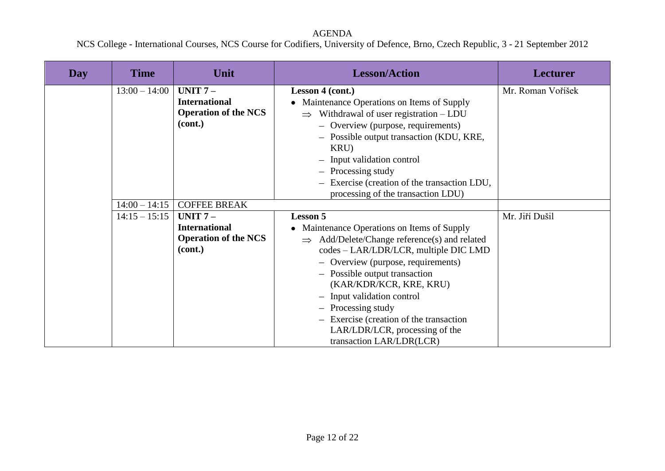| Day | <b>Time</b>     | Unit                        | <b>Lesson/Action</b>                                        | <b>Lecturer</b>   |
|-----|-----------------|-----------------------------|-------------------------------------------------------------|-------------------|
|     | $13:00 - 14:00$ | UNIT $7-$                   | Lesson 4 (cont.)                                            | Mr. Roman Voříšek |
|     |                 | <b>International</b>        | Maintenance Operations on Items of Supply                   |                   |
|     |                 | <b>Operation of the NCS</b> | Withdrawal of user registration - LDU<br>$\Rightarrow$      |                   |
|     |                 | (cont.)                     | - Overview (purpose, requirements)                          |                   |
|     |                 |                             | - Possible output transaction (KDU, KRE,<br>KRU)            |                   |
|     |                 |                             | - Input validation control                                  |                   |
|     |                 |                             | - Processing study                                          |                   |
|     |                 |                             | - Exercise (creation of the transaction LDU,                |                   |
|     |                 |                             | processing of the transaction LDU)                          |                   |
|     | $14:00 - 14:15$ | <b>COFFEE BREAK</b>         |                                                             |                   |
|     | $14:15 - 15:15$ | UNIT $7-$                   | <b>Lesson 5</b>                                             | Mr. Jiří Dušil    |
|     |                 | <b>International</b>        | • Maintenance Operations on Items of Supply                 |                   |
|     |                 | <b>Operation of the NCS</b> | Add/Delete/Change reference(s) and related<br>$\Rightarrow$ |                   |
|     |                 | (cont.)                     | codes - LAR/LDR/LCR, multiple DIC LMD                       |                   |
|     |                 |                             | - Overview (purpose, requirements)                          |                   |
|     |                 |                             | - Possible output transaction                               |                   |
|     |                 |                             | (KAR/KDR/KCR, KRE, KRU)                                     |                   |
|     |                 |                             | - Input validation control                                  |                   |
|     |                 |                             | - Processing study                                          |                   |
|     |                 |                             | - Exercise (creation of the transaction                     |                   |
|     |                 |                             | LAR/LDR/LCR, processing of the                              |                   |
|     |                 |                             | transaction LAR/LDR(LCR)                                    |                   |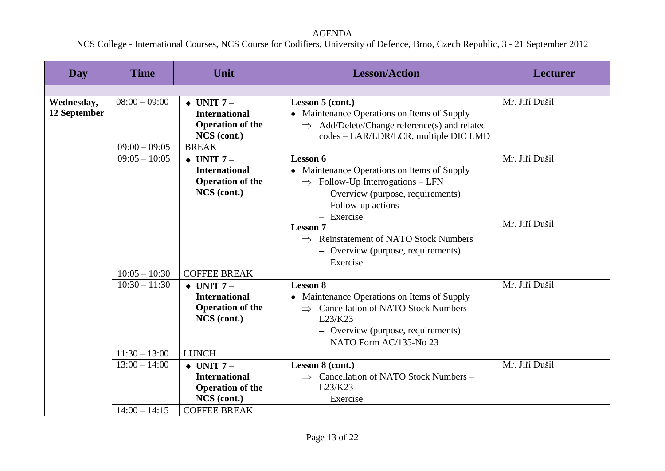AGENDA NCS College - International Courses, NCS Course for Codifiers, University of Defence, Brno, Czech Republic, 3 - 21 September 2012

| Day                        | <b>Time</b>     | Unit                                                                                       | <b>Lesson/Action</b>                                                                                                                                                                                                                                                                                                     | <b>Lecturer</b>                  |
|----------------------------|-----------------|--------------------------------------------------------------------------------------------|--------------------------------------------------------------------------------------------------------------------------------------------------------------------------------------------------------------------------------------------------------------------------------------------------------------------------|----------------------------------|
|                            |                 |                                                                                            |                                                                                                                                                                                                                                                                                                                          |                                  |
| Wednesday,<br>12 September | $08:00 - 09:00$ | $\triangleleft$ UNIT 7 –<br><b>International</b><br><b>Operation of the</b><br>NCS (cont.) | Lesson 5 (cont.)<br>• Maintenance Operations on Items of Supply<br>$\Rightarrow$ Add/Delete/Change reference(s) and related<br>codes - LAR/LDR/LCR, multiple DIC LMD                                                                                                                                                     | Mr. Jiří Dušil                   |
|                            | $09:00 - 09:05$ | <b>BREAK</b>                                                                               |                                                                                                                                                                                                                                                                                                                          |                                  |
|                            | $09:05 - 10:05$ | $\triangle$ UNIT 7 –<br><b>International</b><br><b>Operation of the</b><br>NCS (cont.)     | Lesson 6<br>• Maintenance Operations on Items of Supply<br>$\Rightarrow$ Follow-Up Interrogations – LFN<br>- Overview (purpose, requirements)<br>- Follow-up actions<br>- Exercise<br><b>Lesson 7</b><br><b>Reinstatement of NATO Stock Numbers</b><br>$\Rightarrow$<br>- Overview (purpose, requirements)<br>- Exercise | Mr. Jiří Dušil<br>Mr. Jiří Dušil |
|                            | $10:05 - 10:30$ | <b>COFFEE BREAK</b>                                                                        |                                                                                                                                                                                                                                                                                                                          |                                  |
|                            | $10:30 - 11:30$ | $\triangle$ UNIT 7 –<br><b>International</b><br><b>Operation of the</b><br>NCS (cont.)     | <b>Lesson 8</b><br>• Maintenance Operations on Items of Supply<br>Cancellation of NATO Stock Numbers -<br>$\Rightarrow$<br>L23/K23<br>- Overview (purpose, requirements)<br>$-$ NATO Form AC/135-No 23                                                                                                                   | Mr. Jiří Dušil                   |
|                            | $11:30 - 13:00$ | <b>LUNCH</b>                                                                               |                                                                                                                                                                                                                                                                                                                          |                                  |
|                            | $13:00 - 14:00$ | $\triangle$ UNIT 7 –<br><b>International</b><br><b>Operation of the</b><br>NCS (cont.)     | Lesson 8 (cont.)<br>Cancellation of NATO Stock Numbers -<br>$\Rightarrow$<br>L23/K23<br>$-$ Exercise                                                                                                                                                                                                                     | Mr. Jiří Dušil                   |
|                            | $14:00 - 14:15$ | <b>COFFEE BREAK</b>                                                                        |                                                                                                                                                                                                                                                                                                                          |                                  |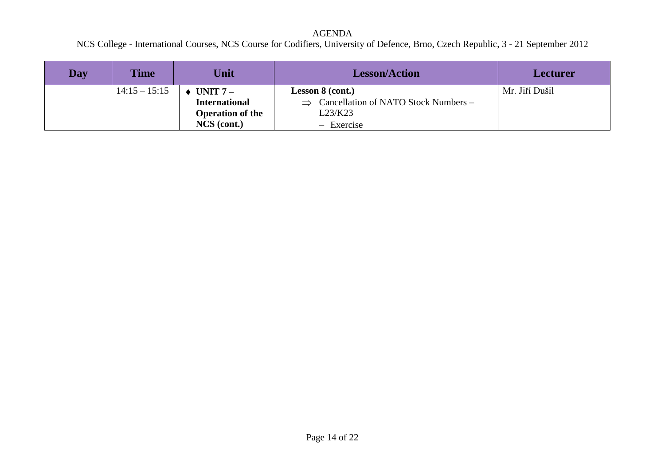| <b>Day</b> | <b>Time</b>     | Unit                    | <b>Lesson/Action</b>                               | <b>Lecturer</b> |
|------------|-----------------|-------------------------|----------------------------------------------------|-----------------|
|            | $14:15 - 15:15$ | $\rightarrow$ UNIT 7 –  | <b>Lesson 8 (cont.)</b>                            | Mr. Jiří Dušil  |
|            |                 | <b>International</b>    | $\Rightarrow$ Cancellation of NATO Stock Numbers – |                 |
|            |                 | <b>Operation of the</b> | L23/K23                                            |                 |
|            |                 | NCS (cont.)             | - Exercise                                         |                 |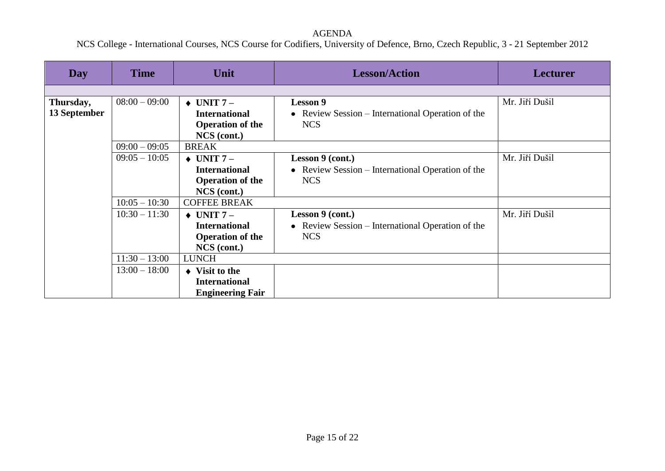| Day          | <b>Time</b>     | Unit                         | <b>Lesson/Action</b>                              | <b>Lecturer</b> |
|--------------|-----------------|------------------------------|---------------------------------------------------|-----------------|
|              |                 |                              |                                                   |                 |
| Thursday,    | $08:00 - 09:00$ | $\triangleleft$ UNIT 7 –     | <b>Lesson 9</b>                                   | Mr. Jiří Dušil  |
| 13 September |                 | <b>International</b>         | • Review Session – International Operation of the |                 |
|              |                 | <b>Operation of the</b>      | <b>NCS</b>                                        |                 |
|              |                 | NCS (cont.)                  |                                                   |                 |
|              | $09:00 - 09:05$ | <b>BREAK</b>                 |                                                   |                 |
|              | $09:05 - 10:05$ | $\triangleleft$ UNIT 7 –     | Lesson 9 (cont.)                                  | Mr. Jiří Dušil  |
|              |                 | <b>International</b>         | • Review Session – International Operation of the |                 |
|              |                 | <b>Operation of the</b>      | <b>NCS</b>                                        |                 |
|              |                 | NCS (cont.)                  |                                                   |                 |
|              | $10:05 - 10:30$ | <b>COFFEE BREAK</b>          |                                                   |                 |
|              | $10:30 - 11:30$ | $\triangleleft$ UNIT 7 –     | Lesson 9 (cont.)                                  | Mr. Jiří Dušil  |
|              |                 | <b>International</b>         | • Review Session – International Operation of the |                 |
|              |                 | <b>Operation of the</b>      | <b>NCS</b>                                        |                 |
|              |                 | NCS (cont.)                  |                                                   |                 |
|              | $11:30 - 13:00$ | <b>LUNCH</b>                 |                                                   |                 |
|              | $13:00 - 18:00$ | $\blacklozenge$ Visit to the |                                                   |                 |
|              |                 | <b>International</b>         |                                                   |                 |
|              |                 | <b>Engineering Fair</b>      |                                                   |                 |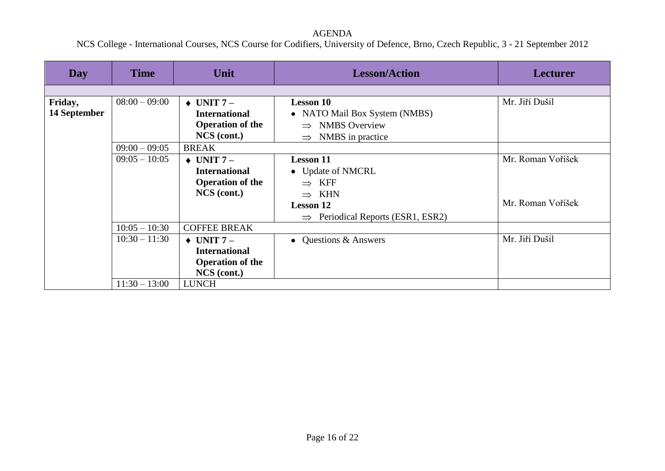| Day          | <b>Time</b>     | Unit                     | <b>Lesson/Action</b>                             | <b>Lecturer</b>   |
|--------------|-----------------|--------------------------|--------------------------------------------------|-------------------|
|              |                 |                          |                                                  |                   |
| Friday,      | $08:00 - 09:00$ | $\triangle$ UNIT 7 –     | <b>Lesson 10</b>                                 | Mr. Jiří Dušil    |
| 14 September |                 | <b>International</b>     | • NATO Mail Box System (NMBS)                    |                   |
|              |                 | <b>Operation of the</b>  | <b>NMBS</b> Overview<br>$\Rightarrow$            |                   |
|              |                 | NCS (cont.)              | NMBS in practice<br>$\Rightarrow$                |                   |
|              | $09:00 - 09:05$ | <b>BREAK</b>             |                                                  |                   |
|              | $09:05 - 10:05$ | $\rightarrow$ UNIT 7 –   | <b>Lesson 11</b>                                 | Mr. Roman Voříšek |
|              |                 | <b>International</b>     | • Update of NMCRL                                |                   |
|              |                 | <b>Operation of the</b>  | <b>KFF</b><br>$\Rightarrow$                      |                   |
|              |                 | NCS (cont.)              | <b>KHN</b><br>$\Rightarrow$                      |                   |
|              |                 |                          | <b>Lesson 12</b>                                 | Mr. Roman Voříšek |
|              |                 |                          | Periodical Reports (ESR1, ESR2)<br>$\Rightarrow$ |                   |
|              | $10:05 - 10:30$ | <b>COFFEE BREAK</b>      |                                                  |                   |
|              | $10:30 - 11:30$ | $\triangleleft$ UNIT 7 – | Questions & Answers<br>$\bullet$                 | Mr. Jiří Dušil    |
|              |                 | <b>International</b>     |                                                  |                   |
|              |                 | <b>Operation of the</b>  |                                                  |                   |
|              |                 | NCS (cont.)              |                                                  |                   |
|              | $11:30 - 13:00$ | <b>LUNCH</b>             |                                                  |                   |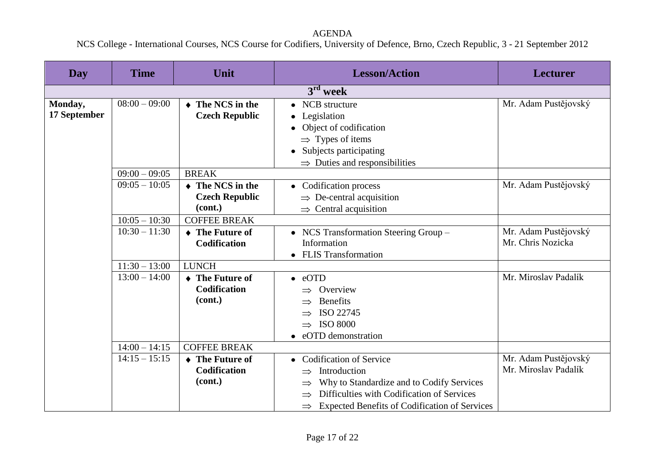| <b>Day</b>              | <b>Time</b>                        | Unit                                                                                   | <b>Lesson/Action</b>                                                                                                                                                                                                                            | <b>Lecturer</b>                              |  |  |
|-------------------------|------------------------------------|----------------------------------------------------------------------------------------|-------------------------------------------------------------------------------------------------------------------------------------------------------------------------------------------------------------------------------------------------|----------------------------------------------|--|--|
|                         | $3rd$ week                         |                                                                                        |                                                                                                                                                                                                                                                 |                                              |  |  |
| Monday,<br>17 September | $08:00 - 09:00$                    | $\triangleleft$ The NCS in the<br><b>Czech Republic</b>                                | • NCB structure<br>• Legislation<br>• Object of codification<br>$\Rightarrow$ Types of items                                                                                                                                                    | Mr. Adam Pustějovský                         |  |  |
|                         |                                    |                                                                                        | Subjects participating<br>$\Rightarrow$ Duties and responsibilities                                                                                                                                                                             |                                              |  |  |
|                         | $09:00 - 09:05$<br>$09:05 - 10:05$ | <b>BREAK</b><br>$\triangleleft$ The NCS in the<br><b>Czech Republic</b><br>(cont.)     | • Codification process<br>$\Rightarrow$ De-central acquisition<br>$\Rightarrow$ Central acquisition                                                                                                                                             | Mr. Adam Pustějovský                         |  |  |
|                         | $10:05 - 10:30$<br>$10:30 - 11:30$ | <b>COFFEE BREAK</b><br>$\triangleleft$ The Future of<br><b>Codification</b>            | • NCS Transformation Steering Group -<br>Information<br>• FLIS Transformation                                                                                                                                                                   | Mr. Adam Pustějovský<br>Mr. Chris Nozicka    |  |  |
|                         | $11:30 - 13:00$<br>$13:00 - 14:00$ | <b>LUNCH</b><br>$\triangleleft$ The Future of<br>Codification<br>(cont.)               | $\bullet$ eOTD<br>Overview<br>$\Rightarrow$<br><b>Benefits</b><br>ISO 22745<br><b>ISO 8000</b><br>$\Rightarrow$<br>• eOTD demonstration                                                                                                         | Mr. Miroslav Padalík                         |  |  |
|                         | $14:00 - 14:15$<br>$14:15 - 15:15$ | <b>COFFEE BREAK</b><br>$\triangleleft$ The Future of<br><b>Codification</b><br>(cont.) | • Codification of Service<br>Introduction<br>$\Rightarrow$<br>Why to Standardize and to Codify Services<br>$\Rightarrow$<br>Difficulties with Codification of Services<br><b>Expected Benefits of Codification of Services</b><br>$\Rightarrow$ | Mr. Adam Pustějovský<br>Mr. Miroslav Padalík |  |  |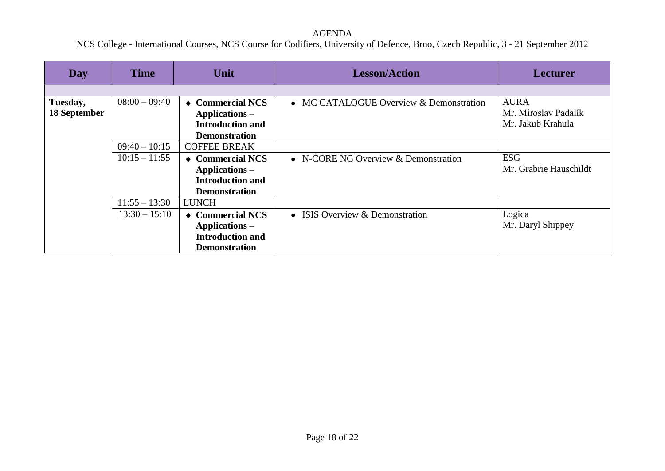| Day                 | <b>Time</b>     | Unit                           | <b>Lesson/Action</b>                    | <b>Lecturer</b>        |
|---------------------|-----------------|--------------------------------|-----------------------------------------|------------------------|
|                     |                 |                                |                                         |                        |
| Tuesday,            | $08:00 - 09:40$ | $\triangleleft$ Commercial NCS | • MC CATALOGUE Overview & Demonstration | <b>AURA</b>            |
| <b>18 September</b> |                 | Applications –                 |                                         | Mr. Miroslav Padalík   |
|                     |                 | <b>Introduction and</b>        |                                         | Mr. Jakub Krahula      |
|                     |                 | <b>Demonstration</b>           |                                         |                        |
|                     | $09:40 - 10:15$ | <b>COFFEE BREAK</b>            |                                         |                        |
|                     | $10:15 - 11:55$ | ♦ Commercial NCS               | • N-CORE NG Overview $&$ Demonstration  | <b>ESG</b>             |
|                     |                 | Applications –                 |                                         | Mr. Grabrie Hauschildt |
|                     |                 | <b>Introduction and</b>        |                                         |                        |
|                     |                 | <b>Demonstration</b>           |                                         |                        |
|                     | $11:55 - 13:30$ | <b>LUNCH</b>                   |                                         |                        |
|                     | $13:30 - 15:10$ | ♦ Commercial NCS               | • ISIS Overview & Demonstration         | Logica                 |
|                     |                 | Applications –                 |                                         | Mr. Daryl Shippey      |
|                     |                 | <b>Introduction and</b>        |                                         |                        |
|                     |                 | <b>Demonstration</b>           |                                         |                        |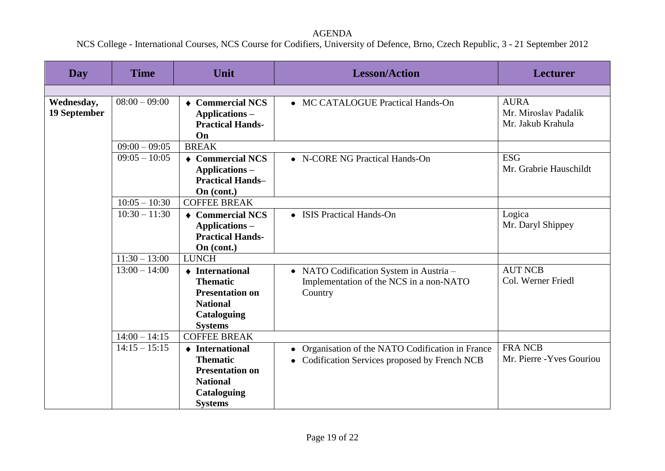| Day                        | <b>Time</b>     | Unit                                                                                                                              | <b>Lesson/Action</b>                                                                                | <b>Lecturer</b>                                          |
|----------------------------|-----------------|-----------------------------------------------------------------------------------------------------------------------------------|-----------------------------------------------------------------------------------------------------|----------------------------------------------------------|
|                            |                 |                                                                                                                                   |                                                                                                     |                                                          |
| Wednesday,<br>19 September | $08:00 - 09:00$ | ◆ Commercial NCS<br>Applications -<br><b>Practical Hands-</b><br>On                                                               | • MC CATALOGUE Practical Hands-On                                                                   | <b>AURA</b><br>Mr. Miroslav Padalík<br>Mr. Jakub Krahula |
|                            | $09:00 - 09:05$ | <b>BREAK</b>                                                                                                                      |                                                                                                     |                                                          |
|                            | $09:05 - 10:05$ | ◆ Commercial NCS<br>Applications -<br><b>Practical Hands-</b><br>On (cont.)                                                       | • N-CORE NG Practical Hands-On                                                                      | <b>ESG</b><br>Mr. Grabrie Hauschildt                     |
|                            | $10:05 - 10:30$ | <b>COFFEE BREAK</b>                                                                                                               |                                                                                                     |                                                          |
|                            | $10:30 - 11:30$ | ♦ Commercial NCS<br>Applications -<br><b>Practical Hands-</b><br>On (cont.)                                                       | • ISIS Practical Hands-On                                                                           | Logica<br>Mr. Daryl Shippey                              |
|                            | $11:30 - 13:00$ | <b>LUNCH</b>                                                                                                                      |                                                                                                     |                                                          |
|                            | $13:00 - 14:00$ | $\triangle$ International<br><b>Thematic</b><br><b>Presentation on</b><br><b>National</b><br><b>Cataloguing</b><br><b>Systems</b> | • NATO Codification System in Austria -<br>Implementation of the NCS in a non-NATO<br>Country       | <b>AUT NCB</b><br>Col. Werner Friedl                     |
|                            | $14:00 - 14:15$ | <b>COFFEE BREAK</b>                                                                                                               |                                                                                                     |                                                          |
|                            | $14:15 - 15:15$ | $\triangle$ International<br><b>Thematic</b><br><b>Presentation on</b><br><b>National</b><br><b>Cataloguing</b><br><b>Systems</b> | • Organisation of the NATO Codification in France<br>• Codification Services proposed by French NCB | <b>FRANCB</b><br>Mr. Pierre - Yves Gouriou               |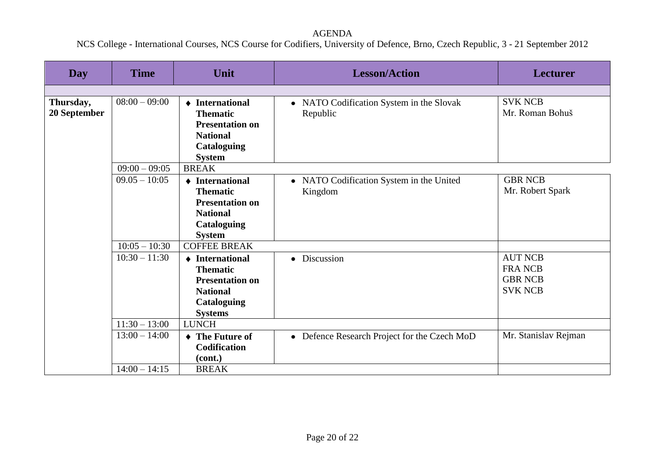| <b>Day</b>                | <b>Time</b>     | Unit                                                                                                                              | <b>Lesson/Action</b>                                 | <b>Lecturer</b>                                                     |
|---------------------------|-----------------|-----------------------------------------------------------------------------------------------------------------------------------|------------------------------------------------------|---------------------------------------------------------------------|
|                           |                 |                                                                                                                                   |                                                      |                                                                     |
| Thursday,<br>20 September | $08:00 - 09:00$ | $\triangle$ International<br><b>Thematic</b><br><b>Presentation on</b><br><b>National</b><br><b>Cataloguing</b><br><b>System</b>  | • NATO Codification System in the Slovak<br>Republic | <b>SVK NCB</b><br>Mr. Roman Bohuš                                   |
|                           | $09:00 - 09:05$ | <b>BREAK</b>                                                                                                                      |                                                      |                                                                     |
|                           | $09.05 - 10:05$ | $\triangle$ International<br><b>Thematic</b><br><b>Presentation on</b><br><b>National</b><br><b>Cataloguing</b><br><b>System</b>  | • NATO Codification System in the United<br>Kingdom  | <b>GBR NCB</b><br>Mr. Robert Spark                                  |
|                           | $10:05 - 10:30$ | <b>COFFEE BREAK</b>                                                                                                               |                                                      |                                                                     |
|                           | $10:30 - 11:30$ | $\triangle$ International<br><b>Thematic</b><br><b>Presentation on</b><br><b>National</b><br><b>Cataloguing</b><br><b>Systems</b> | • Discussion                                         | <b>AUT NCB</b><br><b>FRANCB</b><br><b>GBR NCB</b><br><b>SVK NCB</b> |
|                           | $11:30 - 13:00$ | <b>LUNCH</b>                                                                                                                      |                                                      |                                                                     |
|                           | $13:00 - 14:00$ | $\triangleleft$ The Future of<br><b>Codification</b><br>(cont.)                                                                   | • Defence Research Project for the Czech MoD         | Mr. Stanislav Rejman                                                |
|                           | $14:00 - 14:15$ | <b>BREAK</b>                                                                                                                      |                                                      |                                                                     |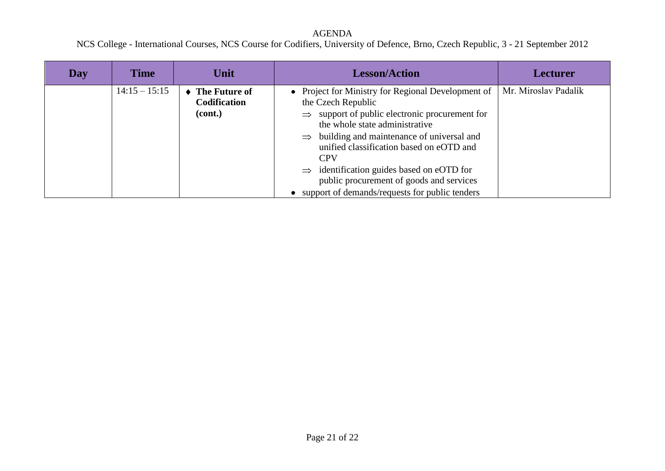| Day | <b>Time</b>     | Unit                                                   | <b>Lesson/Action</b>                                                                                                                                                                                                                                                                                                                                                                                                                                          | <b>Lecturer</b>      |
|-----|-----------------|--------------------------------------------------------|---------------------------------------------------------------------------------------------------------------------------------------------------------------------------------------------------------------------------------------------------------------------------------------------------------------------------------------------------------------------------------------------------------------------------------------------------------------|----------------------|
|     | $14:15 - 15:15$ | $\rightarrow$ The Future of<br>Codification<br>(cont.) | • Project for Ministry for Regional Development of<br>the Czech Republic<br>support of public electronic procurement for<br>$\Rightarrow$<br>the whole state administrative<br>building and maintenance of universal and<br>$\Rightarrow$<br>unified classification based on eOTD and<br><b>CPV</b><br>identification guides based on eOTD for<br>$\Rightarrow$<br>public procurement of goods and services<br>support of demands/requests for public tenders | Mr. Miroslav Padalík |